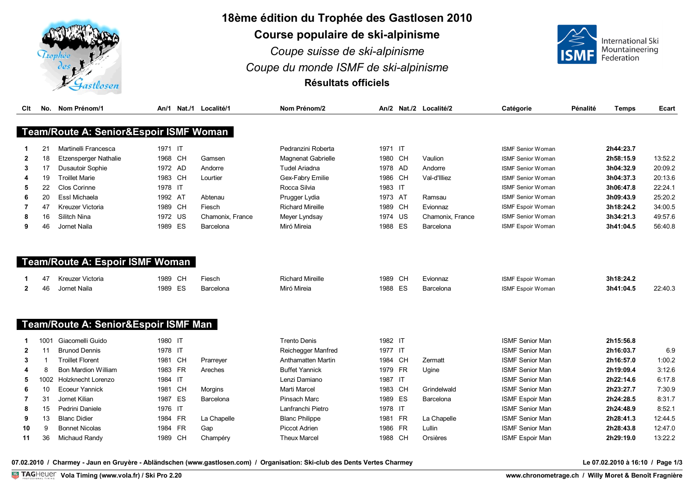

## **18ème édition du Trophée des Gastlosen 2010**

**Course populaire de ski-alpinisme**

*Coupe suisse de ski-alpinisme Coupe du monde ISMF de ski-alpinisme* **Résultats officiels**



| Clt            |      | No. Nom Prénom/1                       |         |    | An/1 Nat./1 Localité/1 | Nom Prénom/2              |         |           | An/2 Nat./2 Localité/2 | Catégorie                | Pénalité | <b>Temps</b> | Ecart   |
|----------------|------|----------------------------------------|---------|----|------------------------|---------------------------|---------|-----------|------------------------|--------------------------|----------|--------------|---------|
|                |      |                                        |         |    |                        |                           |         |           |                        |                          |          |              |         |
|                |      | Team/Route A: Senior&Espoir ISMF Woman |         |    |                        |                           |         |           |                        |                          |          |              |         |
|                | 21   | Martinelli Francesca                   | 1971 IT |    |                        | Pedranzini Roberta        | 1971 IT |           |                        | <b>ISMF Senior Woman</b> |          | 2h44:23.7    |         |
| $\mathbf{2}$   | 18   | <b>Etzensperger Nathalie</b>           | 1968 CH |    | Gamsen                 | <b>Magnenat Gabrielle</b> | 1980 CH |           | Vaulion                | <b>ISMF Senior Woman</b> |          | 2h58:15.9    | 13:52.2 |
| 3              | 17   | <b>Dusautoir Sophie</b>                | 1972 AD |    | Andorre                | <b>Tudel Ariadna</b>      | 1978 AD |           | Andorre                | <b>ISMF Senior Woman</b> |          | 3h04:32.9    | 20:09.2 |
| 4              | 19   | <b>Troillet Marie</b>                  | 1983 CH |    | Lourtier               | Gex-Fabry Emilie          | 1986    | <b>CH</b> | Val-d'Illiez           | <b>ISMF Senior Woman</b> |          | 3h04:37.3    | 20:13.6 |
| 5              | 22   | Clos Corinne                           | 1978 IT |    |                        | Rocca Silvia              | 1983 IT |           |                        | <b>ISMF Senior Woman</b> |          | 3h06:47.8    | 22:24.1 |
| 6              | 20   | Essl Michaela                          | 1992 AT |    | Abtenau                | Prugger Lydia             | 1973 AT |           | Ramsau                 | <b>ISMF Senior Woman</b> |          | 3h09:43.9    | 25:20.2 |
|                | 47   | Kreuzer Victoria                       | 1989 CH |    | Fiesch                 | <b>Richard Mireille</b>   | 1989    | <b>CH</b> | Evionnaz               | ISMF Espoir Woman        |          | 3h18:24.2    | 34:00.5 |
| 8              | 16   | Silitch Nina                           | 1972 US |    | Chamonix, France       | Meyer Lyndsay             | 1974    | <b>US</b> | Chamonix, France       | <b>ISMF Senior Woman</b> |          | 3h34:21.3    | 49:57.6 |
| 9              | 46   | Jornet Naila                           | 1989 ES |    | Barcelona              | Miró Mireia               | 1988    | ES        | Barcelona              | ISMF Espoir Woman        |          | 3h41:04.5    | 56:40.8 |
|                |      |                                        |         |    |                        |                           |         |           |                        |                          |          |              |         |
|                |      |                                        |         |    |                        |                           |         |           |                        |                          |          |              |         |
|                |      | <b>Team/Route A: Espoir ISMF Woman</b> |         |    |                        |                           |         |           |                        |                          |          |              |         |
|                | 47   | Kreuzer Victoria                       | 1989 CH |    | Fiesch                 | <b>Richard Mireille</b>   | 1989    | <b>CH</b> | Evionnaz               | ISMF Espoir Woman        |          | 3h18:24.2    |         |
| $\overline{2}$ | 46   | Jornet Naila                           | 1989 ES |    | Barcelona              | Miró Mireia               | 1988    | ES        | Barcelona              | ISMF Espoir Woman        |          | 3h41:04.5    | 22:40.3 |
|                |      |                                        |         |    |                        |                           |         |           |                        |                          |          |              |         |
|                |      |                                        |         |    |                        |                           |         |           |                        |                          |          |              |         |
|                |      | Team/Route A: Senior&Espoir ISMF Man   |         |    |                        |                           |         |           |                        |                          |          |              |         |
|                | 1001 | Giacomelli Guido                       | 1980 IT |    |                        | <b>Trento Denis</b>       | 1982 IT |           |                        | <b>ISMF Senior Man</b>   |          | 2h15:56.8    |         |
| $\mathbf{2}$   | 11   | <b>Brunod Dennis</b>                   | 1978 IT |    |                        | Reichegger Manfred        | 1977 IT |           |                        | <b>ISMF Senior Man</b>   |          | 2h16:03.7    | 6.9     |
| 3              |      | <b>Troillet Florent</b>                | 1981 CH |    | Prarreyer              | Anthamatten Martin        | 1984 CH |           | Zermatt                | <b>ISMF Senior Man</b>   |          | 2h16:57.0    | 1:00.2  |
|                | 8    | <b>Bon Mardion William</b>             | 1983 FR |    | Areches                | <b>Buffet Yannick</b>     | 1979    | <b>FR</b> | Ugine                  | <b>ISMF Senior Man</b>   |          | 2h19:09.4    | 3:12.6  |
| 5              | 1002 | Holzknecht Lorenzo                     | 1984 IT |    |                        | Lenzi Damiano             | 1987 IT |           |                        | <b>ISMF Senior Man</b>   |          | 2h22:14.6    | 6:17.8  |
| 6              | 10   | <b>Ecoeur Yannick</b>                  | 1981 CH |    | Morgins                | <b>Marti Marcel</b>       | 1983    | <b>CH</b> | Grindelwald            | <b>ISMF Senior Man</b>   |          | 2h23:27.7    | 7:30.9  |
| 7              | 31   | Jornet Kilian                          | 1987    | ES | Barcelona              | <b>Pinsach Marc</b>       | 1989    | ES        | Barcelona              | <b>ISMF Espoir Man</b>   |          | 2h24:28.5    | 8:31.7  |
| 8              | 15   | Pedrini Daniele                        | 1976 IT |    |                        | Lanfranchi Pietro         | 1978 IT |           |                        | <b>ISMF Senior Man</b>   |          | 2h24:48.9    | 8:52.1  |
| 9              | 13   | <b>Blanc Didier</b>                    | 1984 FR |    | La Chapelle            | <b>Blanc Philippe</b>     | 1981    | <b>FR</b> | La Chapelle            | <b>ISMF Senior Man</b>   |          | 2h28:41.3    | 12:44.5 |
| 10             | 9    | <b>Bonnet Nicolas</b>                  | 1984 FR |    | Gap                    | Piccot Adrien             | 1986    | <b>FR</b> | Lullin                 | <b>ISMF Senior Man</b>   |          | 2h28:43.8    | 12:47.0 |
| 11             | 36   | Michaud Randy                          | 1989 CH |    | Champéry               | <b>Theux Marcel</b>       | 1988 CH |           | Orsières               | <b>ISMF Espoir Man</b>   |          | 2h29:19.0    | 13:22.2 |
|                |      |                                        |         |    |                        |                           |         |           |                        |                          |          |              |         |

**07.02.2010 / Charmey - Jaun en Gruyère - Abländschen (www.gastlosen.com) / Organisation: Ski-club des Dents Vertes Charmey Le 07.02.2010 à 16:10 / Page 1/3**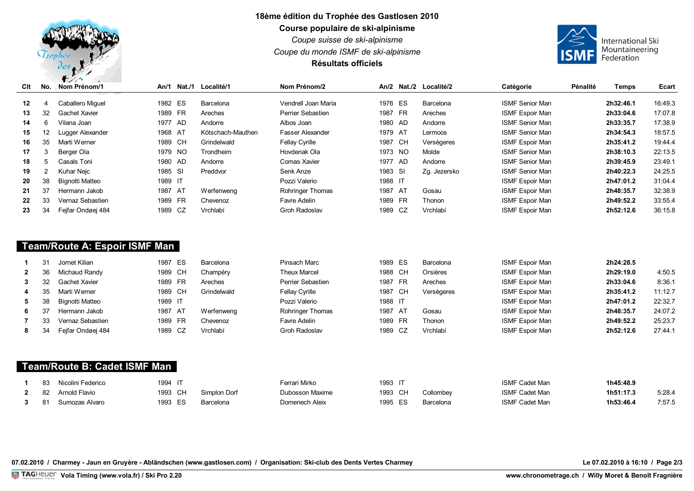

## **18ème édition du Trophée des Gastlosen 2010 Course populaire de ski-alpinisme**

*Coupe suisse de ski-alpinisme*

*Coupe du monde ISMF de ski-alpinisme*

## **Résultats officiels**



| Clt              | No. | $\sim$ $\sim$ $\sim$<br>the contract of the contract of the contract of the contract of the contract of<br><b>∶Nom Prénom/1</b> | An/1    | Nat./1    | <b>Localité/1</b> | Nom Prénom/2          |         | An/2 Nat./2 Localité/2 | Catégorie              | Pénalité | <b>Temps</b> | Ecart   |
|------------------|-----|---------------------------------------------------------------------------------------------------------------------------------|---------|-----------|-------------------|-----------------------|---------|------------------------|------------------------|----------|--------------|---------|
|                  |     |                                                                                                                                 |         |           |                   |                       |         |                        |                        |          |              |         |
| 12 <sup>12</sup> |     | Caballero Miquel                                                                                                                | 1982    | ES        | Barcelona         | Vendrell Joan Maria   | 1976 ES | Barcelona              | <b>ISMF Senior Man</b> |          | 2h32:46.1    | 16:49.3 |
| 13               | 32  | Gachet Xavier                                                                                                                   | 1989    | <b>FR</b> | Areches           | Perrier Sebastien     | 1987 FR | Areches                | <b>ISMF Espoir Man</b> |          | 2h33:04.6    | 17:07.8 |
| 14               | 6   | Vilana Joan                                                                                                                     | 1977    | - AD      | Andorre           | Albos Joan            | 1980 AD | Andorre                | <b>ISMF Senior Man</b> |          | 2h33:35.7    | 17:38.9 |
| 15               | 12  | Lugger Alexander                                                                                                                | 1968    | - AT      | Kötschach-Mauthen | Fasser Alexander      | 1979 AT | Lermoos                | <b>ISMF Senior Man</b> |          | 2h34:54.3    | 18:57.5 |
| 16               | 35  | Marti Werner                                                                                                                    | 1989    | CH        | Grindelwald       | <b>Fellay Cyrille</b> | 1987 CH | Versègeres             | <b>ISMF Espoir Man</b> |          | 2h35:41.2    | 19:44.4 |
| 17               | 3   | Berger Ola                                                                                                                      | 1979    | - NO      | Trondheim         | Hovdenak Ola          | 1973 NO | Molde                  | <b>ISMF Senior Man</b> |          | 2h38:10.3    | 22:13.5 |
| 18               | 5   | Casals Toni                                                                                                                     | 1980    | - AD      | Andorre           | Comas Xavier          | 1977 AD | Andorre                | <b>ISMF Senior Man</b> |          | 2h39:45.9    | 23:49.1 |
| 19               |     | Kuhar Neic                                                                                                                      | 1985 SI |           | Preddvor          | Senk Anze             | 1983 SI | Zg. Jezersko           | <b>ISMF Senior Man</b> |          | 2h40:22.3    | 24:25.5 |
| 20               | 38  | Bignotti Matteo                                                                                                                 | 1989 IT |           |                   | Pozzi Valerio         | 1988 IT |                        | <b>ISMF Espoir Man</b> |          | 2h47:01.2    | 31:04.4 |
| 21               | 37  | Hermann Jakob                                                                                                                   | 1987    | - AT      | <b>Werfenweng</b> | Rohringer Thomas      | 1987 AT | Gosau                  | ISMF Espoir Man        |          | 2h48:35.7    | 32:38.9 |
| 22               | 33  | Vernaz Sebastien                                                                                                                | 1989    | <b>FR</b> | Chevenoz          | Favre Adelin          | 1989 FR | Thonon                 | <b>ISMF Espoir Man</b> |          | 2h49:52.2    | 33:55.4 |
| 23               | 34  | Fejfar Ondøej 484                                                                                                               | 1989    | CZ        | Vrchlabí          | <b>Groh Radoslav</b>  | 1989 CZ | Vrchlabí               | <b>ISMF Espoir Man</b> |          | 2h52:12.6    | 36:15.8 |

|              |    | Jornet Kilian     | ES<br>1987 | Barcelona         | Pinsach Marc          | 1989 ES | Barcelona  | <b>ISMF Espoir Man</b> | 2h24:28.5 |         |
|--------------|----|-------------------|------------|-------------------|-----------------------|---------|------------|------------------------|-----------|---------|
| $\mathbf{2}$ | 36 | Michaud Randy     | СH<br>1989 | Champéry          | <b>Theux Marcel</b>   | 1988 CH | Orsières   | <b>ISMF Espoir Man</b> | 2h29:19.0 | 4:50.5  |
| 3            |    | Gachet Xavier     | 1989 FR    | Areches           | Perrier Sebastien     | 1987 FR | Areches    | <b>ISMF Espoir Man</b> | 2h33:04.6 | 8:36.1  |
| 4            | 35 | Marti Werner      | 1989 CH    | Grindelwald       | <b>Fellay Cyrille</b> | 1987 CH | Versègeres | <b>ISMF Espoir Man</b> | 2h35:41.2 | 11:12.7 |
| 5            | 38 | Bignotti Matteo   | 1989 IT    |                   | Pozzi Valerio         | 1988 IT |            | <b>ISMF Espoir Man</b> | 2h47:01.2 | 22:32.7 |
| 6            |    | Hermann Jakob     | 1987 AT    | <b>Werfenweng</b> | Rohringer Thomas      | 1987 AT | Gosau      | <b>ISMF Espoir Man</b> | 2h48:35.7 | 24:07.2 |
|              | 33 | Vernaz Sebastien  | 1989 FR    | Chevenoz          | Favre Adelin          | 1989 FR | Thonon     | <b>ISMF Espoir Man</b> | 2h49:52.2 | 25:23.7 |
| 8            | 34 | Feifar Ondøei 484 | 1989 CZ    | Vrchlabí          | Groh Radoslav         | 1989 CZ | Vrchlabí   | <b>ISMF Espoir Man</b> | 2h52:12.6 | 27:44.1 |

## **Team/Route B: Cadet ISMF Man**

|             | 83   | Nicolini Federico | 1994              |              | errari Mirko    | 1993    |           | $:$ Codot M            | 1h45:48.9 |        |
|-------------|------|-------------------|-------------------|--------------|-----------------|---------|-----------|------------------------|-----------|--------|
| 2 82        |      | Arnold Flavio     | 1993<br><b>CH</b> | Simplon Dorf | Dubosson Maxime | 1993 CH | Collombey | <sup>-</sup> Cadet Man | 1h51:17.3 | 5:28.  |
| $3^{\circ}$ | - 81 | Sumozas Alvaro    | 1993<br>ce.       | Barcelona    | Domenech Aleix  | 1995 FS | Barcelona | ີ Cadot Man            | 1h53:46.4 | 7:57.5 |

**07.02.2010 / Charmey - Jaun en Gruyère - Abländschen (www.gastlosen.com) / Organisation: Ski-club des Dents Vertes Charmey Le 07.02.2010 à 16:10 / Page 2/3**